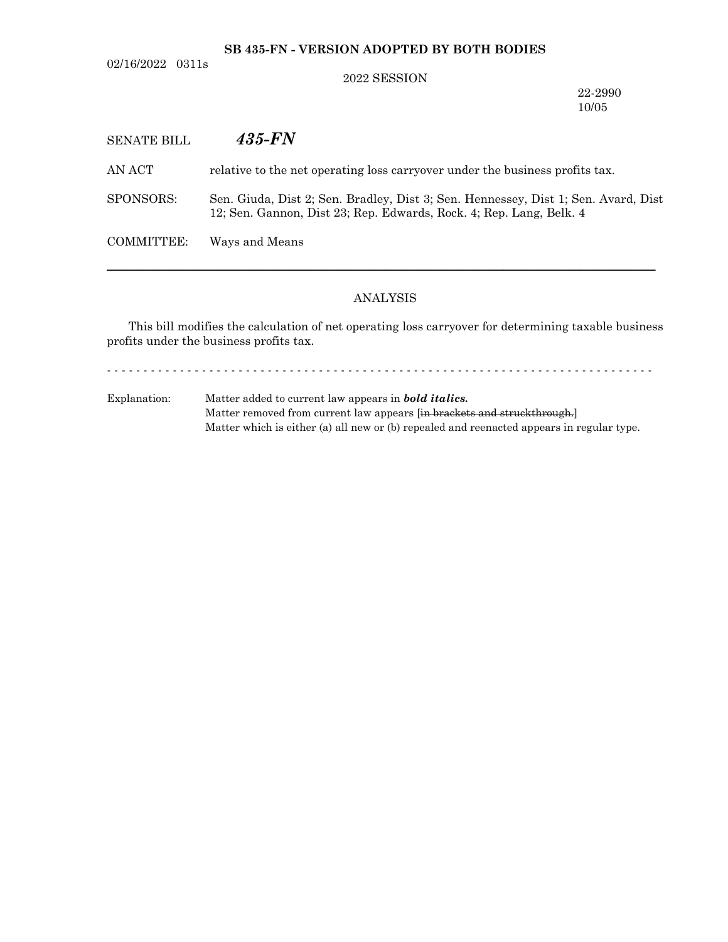### **SB 435-FN - VERSION ADOPTED BY BOTH BODIES**

02/16/2022 0311s

### 2022 SESSION

22-2990 10/05

| <b>SENATE BILL</b> | $435$ - $FN$                                                                                                                                              |
|--------------------|-----------------------------------------------------------------------------------------------------------------------------------------------------------|
| AN ACT             | relative to the net operating loss carry over under the business profits tax.                                                                             |
| SPONSORS:          | Sen. Giuda, Dist 2; Sen. Bradley, Dist 3; Sen. Hennessey, Dist 1; Sen. Avard, Dist<br>12; Sen. Gannon, Dist 23; Rep. Edwards, Rock. 4; Rep. Lang, Belk. 4 |
| COMMITTEE:         | Ways and Means                                                                                                                                            |
|                    |                                                                                                                                                           |

### ANALYSIS

This bill modifies the calculation of net operating loss carryover for determining taxable business profits under the business profits tax.

- - - - - - - - - - - - - - - - - - - - - - - - - - - - - - - - - - - - - - - - - - - - - - - - - - - - - - - - - - - - - - - - - - - - - - - - - - -

Explanation: Matter added to current law appears in *bold italics.* Matter removed from current law appears [in brackets and struckthrough.] Matter which is either (a) all new or (b) repealed and reenacted appears in regular type.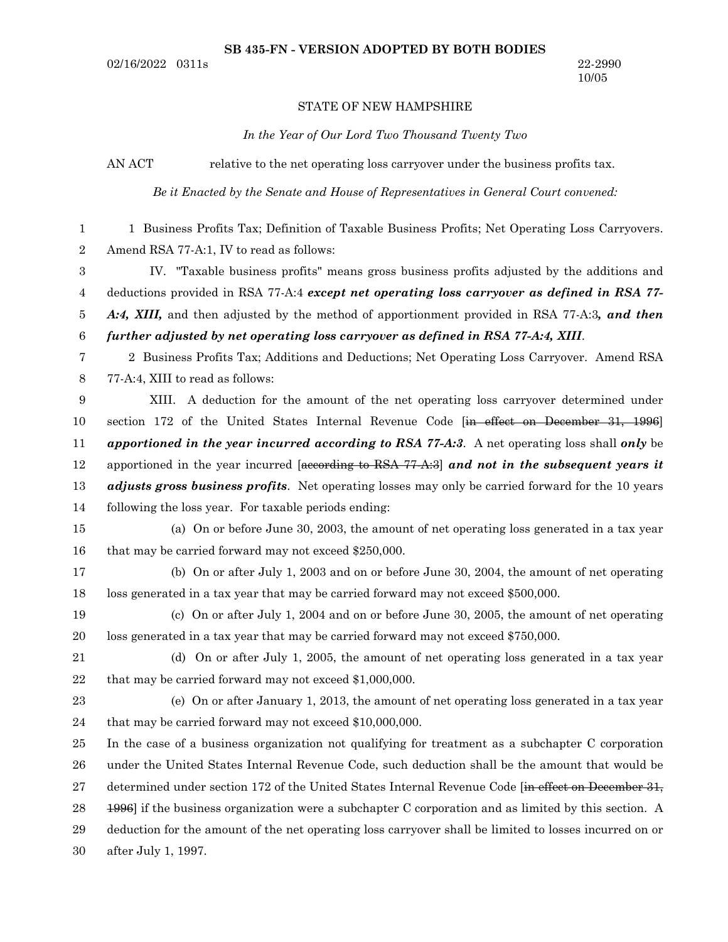#### STATE OF NEW HAMPSHIRE

#### *In the Year of Our Lord Two Thousand Twenty Two*

AN ACT relative to the net operating loss carryover under the business profits tax.

*Be it Enacted by the Senate and House of Representatives in General Court convened:*

1 Business Profits Tax; Definition of Taxable Business Profits; Net Operating Loss Carryovers. Amend RSA 77-A:1, IV to read as follows: IV. "Taxable business profits" means gross business profits adjusted by the additions and deductions provided in RSA 77-A:4 *except net operating loss carryover as defined in RSA 77- A:4, XIII,* and then adjusted by the method of apportionment provided in RSA 77-A:3*, and then further adjusted by net operating loss carryover as defined in RSA 77-A:4, XIII*. 2 Business Profits Tax; Additions and Deductions; Net Operating Loss Carryover. Amend RSA 77-A:4, XIII to read as follows: XIII. A deduction for the amount of the net operating loss carryover determined under section 172 of the United States Internal Revenue Code [in effect on December 31, 1996] *apportioned in the year incurred according to RSA 77-A:3*. A net operating loss shall *only* be apportioned in the year incurred [according to RSA 77-A:3] *and not in the subsequent years it adjusts gross business profits*. Net operating losses may only be carried forward for the 10 years following the loss year. For taxable periods ending: (a) On or before June 30, 2003, the amount of net operating loss generated in a tax year that may be carried forward may not exceed \$250,000. (b) On or after July 1, 2003 and on or before June 30, 2004, the amount of net operating loss generated in a tax year that may be carried forward may not exceed \$500,000. (c) On or after July 1, 2004 and on or before June 30, 2005, the amount of net operating loss generated in a tax year that may be carried forward may not exceed \$750,000. (d) On or after July 1, 2005, the amount of net operating loss generated in a tax year that may be carried forward may not exceed \$1,000,000. (e) On or after January 1, 2013, the amount of net operating loss generated in a tax year that may be carried forward may not exceed \$10,000,000. In the case of a business organization not qualifying for treatment as a subchapter C corporation under the United States Internal Revenue Code, such deduction shall be the amount that would be determined under section 172 of the United States Internal Revenue Code [in effect on December 31, 1996] if the business organization were a subchapter C corporation and as limited by this section. A deduction for the amount of the net operating loss carryover shall be limited to losses incurred on or after July 1, 1997. 1 2 3 4 5 6 7 8 9 10 11 12 13 14 15 16 17 18 19 20 21 22 23 24 25 26 27 28 29 30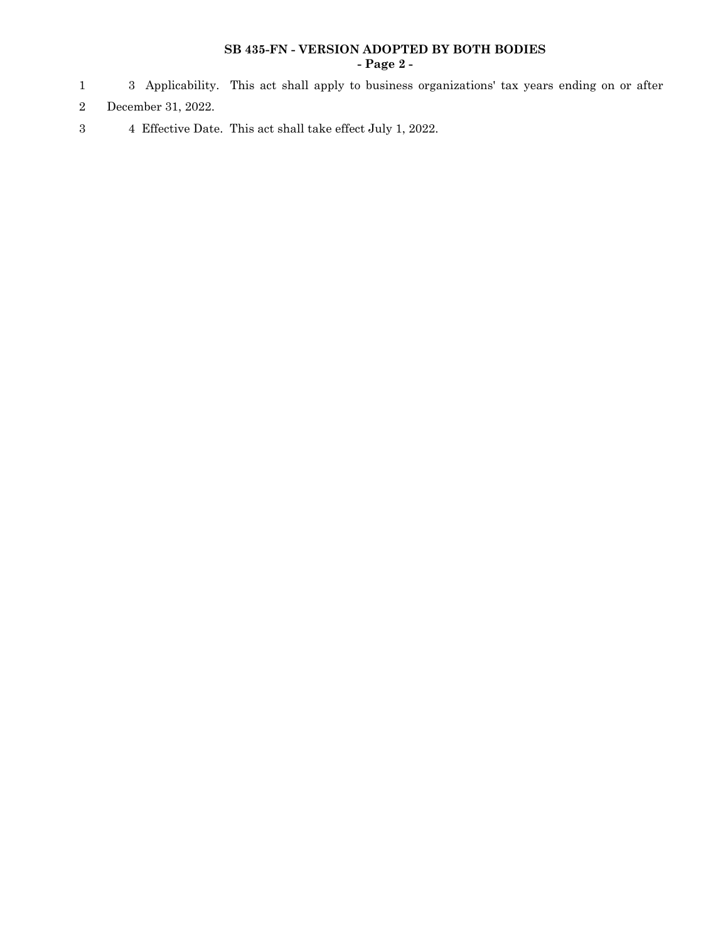# **SB 435-FN - VERSION ADOPTED BY BOTH BODIES - Page 2 -**

- Applicability. This act shall apply to business organizations' tax years ending on or after
- December 31, 2022.
- Effective Date. This act shall take effect July 1, 2022.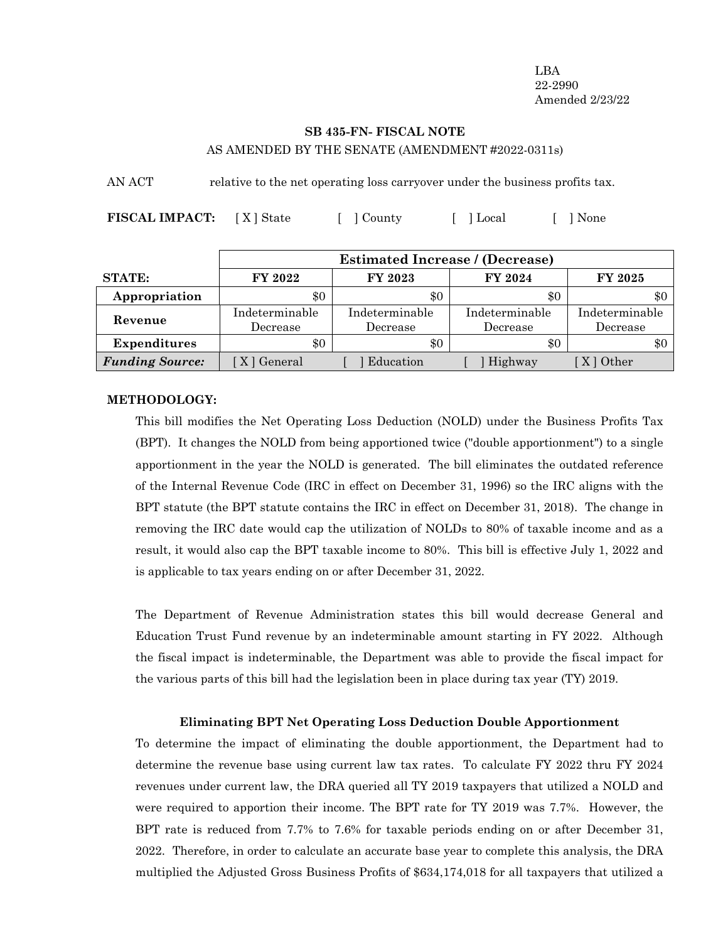LBA 22-2990 Amended 2/23/22

# **SB 435-FN- FISCAL NOTE** AS AMENDED BY THE SENATE (AMENDMENT #2022-0311s)

AN ACT relative to the net operating loss carryover under the business profits tax.

**FISCAL IMPACT:** [X] State [ ] County [ ] Local [ ] None

|                        | <b>Estimated Increase / (Decrease)</b> |                |                |                |
|------------------------|----------------------------------------|----------------|----------------|----------------|
| <b>STATE:</b>          | <b>FY 2022</b>                         | <b>FY 2023</b> | FY 2024        | FY 2025        |
| Appropriation          | \$0                                    | \$0            | $\$0$          | \$0            |
| Revenue                | Indeterminable                         | Indeterminable | Indeterminable | Indeterminable |
|                        | Decrease                               | Decrease       | Decrease       | Decrease       |
| Expenditures           | \$0                                    | \$0            | $\$0$          | \$0            |
| <b>Funding Source:</b> | [X] General                            | Education      | Highway        | X l Other      |

### **METHODOLOGY:**

This bill modifies the Net Operating Loss Deduction (NOLD) under the Business Profits Tax (BPT). It changes the NOLD from being apportioned twice ("double apportionment") to a single apportionment in the year the NOLD is generated. The bill eliminates the outdated reference of the Internal Revenue Code (IRC in effect on December 31, 1996) so the IRC aligns with the BPT statute (the BPT statute contains the IRC in effect on December 31, 2018). The change in removing the IRC date would cap the utilization of NOLDs to 80% of taxable income and as a result, it would also cap the BPT taxable income to 80%. This bill is effective July 1, 2022 and is applicable to tax years ending on or after December 31, 2022.

The Department of Revenue Administration states this bill would decrease General and Education Trust Fund revenue by an indeterminable amount starting in FY 2022. Although the fiscal impact is indeterminable, the Department was able to provide the fiscal impact for the various parts of this bill had the legislation been in place during tax year (TY) 2019.

#### **Eliminating BPT Net Operating Loss Deduction Double Apportionment**

To determine the impact of eliminating the double apportionment, the Department had to determine the revenue base using current law tax rates. To calculate FY 2022 thru FY 2024 revenues under current law, the DRA queried all TY 2019 taxpayers that utilized a NOLD and were required to apportion their income. The BPT rate for TY 2019 was 7.7%. However, the BPT rate is reduced from 7.7% to 7.6% for taxable periods ending on or after December 31, 2022. Therefore, in order to calculate an accurate base year to complete this analysis, the DRA multiplied the Adjusted Gross Business Profits of \$634,174,018 for all taxpayers that utilized a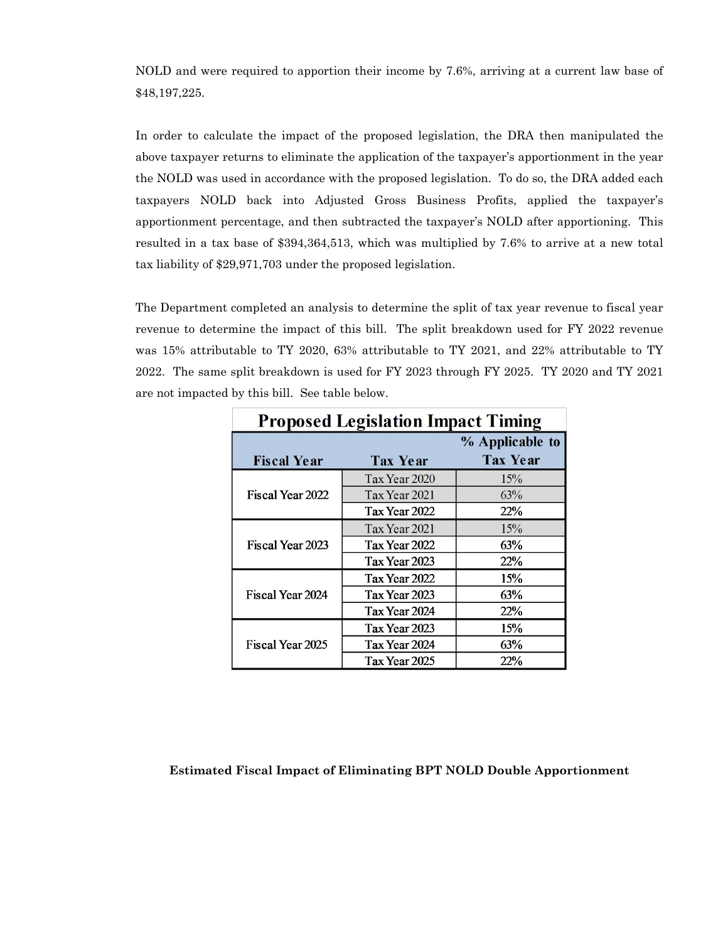NOLD and were required to apportion their income by 7.6%, arriving at a current law base of \$48,197,225.

In order to calculate the impact of the proposed legislation, the DRA then manipulated the above taxpayer returns to eliminate the application of the taxpayer's apportionment in the year the NOLD was used in accordance with the proposed legislation. To do so, the DRA added each taxpayers NOLD back into Adjusted Gross Business Profits, applied the taxpayer's apportionment percentage, and then subtracted the taxpayer's NOLD after apportioning. This resulted in a tax base of \$394,364,513, which was multiplied by 7.6% to arrive at a new total tax liability of \$29,971,703 under the proposed legislation.

The Department completed an analysis to determine the split of tax year revenue to fiscal year revenue to determine the impact of this bill. The split breakdown used for FY 2022 revenue was 15% attributable to TY 2020, 63% attributable to TY 2021, and 22% attributable to TY 2022. The same split breakdown is used for FY 2023 through FY 2025. TY 2020 and TY 2021 are not impacted by this bill. See table below.

| <b>Proposed Legislation Impact Timing</b> |                 |                 |  |
|-------------------------------------------|-----------------|-----------------|--|
| % Applicable to                           |                 |                 |  |
| <b>Fiscal Year</b>                        | <b>Tax Year</b> | <b>Tax Year</b> |  |
|                                           | Tax Year 2020   | 15%             |  |
| Fiscal Year 2022                          | Tax Year 2021   | 63%             |  |
|                                           | Tax Year 2022   | 22%             |  |
|                                           | Tax Year 2021   | 15%             |  |
| Fiscal Year 2023                          | Tax Year 2022   | 63%             |  |
|                                           | Tax Year 2023   | 22%             |  |
|                                           | Tax Year 2022   | 15%             |  |
| Fiscal Year 2024                          | Tax Year 2023   | 63%             |  |
|                                           | Tax Year 2024   | 22%             |  |
|                                           | Tax Year 2023   | 15%             |  |
| Fiscal Year 2025                          | Tax Year 2024   | 63%             |  |
|                                           | Tax Year 2025   | 22%             |  |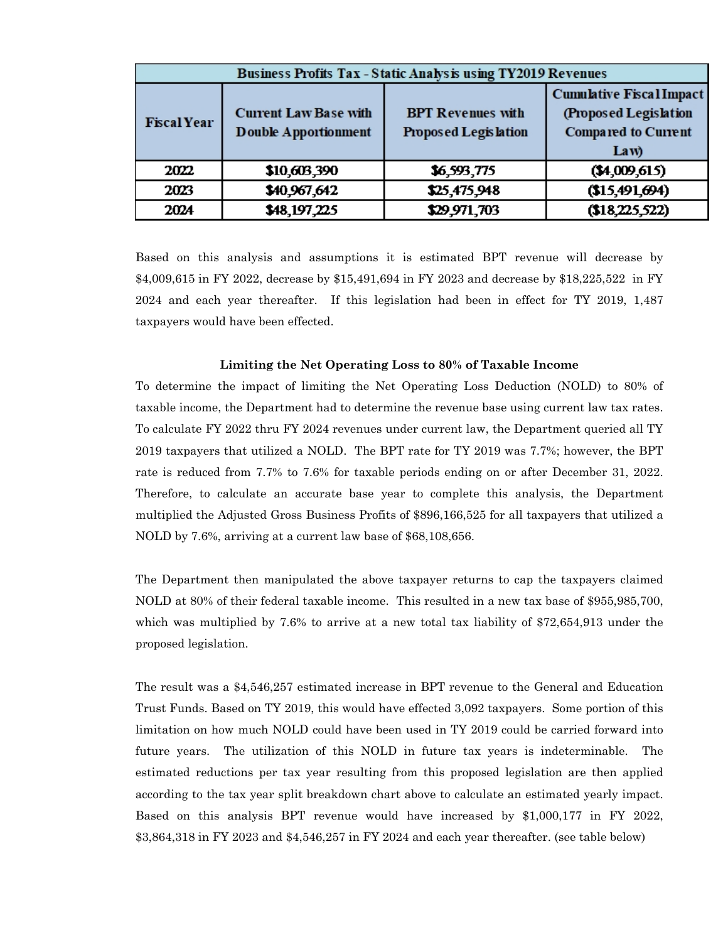| Business Profits Tax - Static Analysis using TY2019 Revenues |                                                             |                                                         |                                                                                                |  |
|--------------------------------------------------------------|-------------------------------------------------------------|---------------------------------------------------------|------------------------------------------------------------------------------------------------|--|
| <b>Fiscal Year</b>                                           | <b>Current Law Base with</b><br><b>Double Apportionment</b> | <b>BPT Revenues with</b><br><b>Proposed Legislation</b> | <b>Cumulative Fiscal Impact</b><br>(Proposed Legislation<br><b>Compared to Current</b><br>Law) |  |
| 2022                                                         | \$10,603,390                                                | \$6,593,775                                             | (34,009,615)                                                                                   |  |
| 2023                                                         | \$40,967,642                                                | \$25,475,948                                            | (15, 491, 694)                                                                                 |  |
| 2024                                                         | \$48,197,225                                                | \$29,971,703                                            | (18, 225, 522)                                                                                 |  |

Based on this analysis and assumptions it is estimated BPT revenue will decrease by \$4,009,615 in FY 2022, decrease by \$15,491,694 in FY 2023 and decrease by \$18,225,522 in FY 2024 and each year thereafter. If this legislation had been in effect for TY 2019, 1,487 taxpayers would have been effected.

#### **Limiting the Net Operating Loss to 80% of Taxable Income**

To determine the impact of limiting the Net Operating Loss Deduction (NOLD) to 80% of taxable income, the Department had to determine the revenue base using current law tax rates. To calculate FY 2022 thru FY 2024 revenues under current law, the Department queried all TY 2019 taxpayers that utilized a NOLD. The BPT rate for TY 2019 was 7.7%; however, the BPT rate is reduced from 7.7% to 7.6% for taxable periods ending on or after December 31, 2022. Therefore, to calculate an accurate base year to complete this analysis, the Department multiplied the Adjusted Gross Business Profits of \$896,166,525 for all taxpayers that utilized a NOLD by 7.6%, arriving at a current law base of \$68,108,656.

The Department then manipulated the above taxpayer returns to cap the taxpayers claimed NOLD at 80% of their federal taxable income. This resulted in a new tax base of \$955,985,700, which was multiplied by 7.6% to arrive at a new total tax liability of \$72,654,913 under the proposed legislation.

The result was a \$4,546,257 estimated increase in BPT revenue to the General and Education Trust Funds. Based on TY 2019, this would have effected 3,092 taxpayers. Some portion of this limitation on how much NOLD could have been used in TY 2019 could be carried forward into future years. The utilization of this NOLD in future tax years is indeterminable. The estimated reductions per tax year resulting from this proposed legislation are then applied according to the tax year split breakdown chart above to calculate an estimated yearly impact. Based on this analysis BPT revenue would have increased by \$1,000,177 in FY 2022, \$3,864,318 in FY 2023 and \$4,546,257 in FY 2024 and each year thereafter. (see table below)